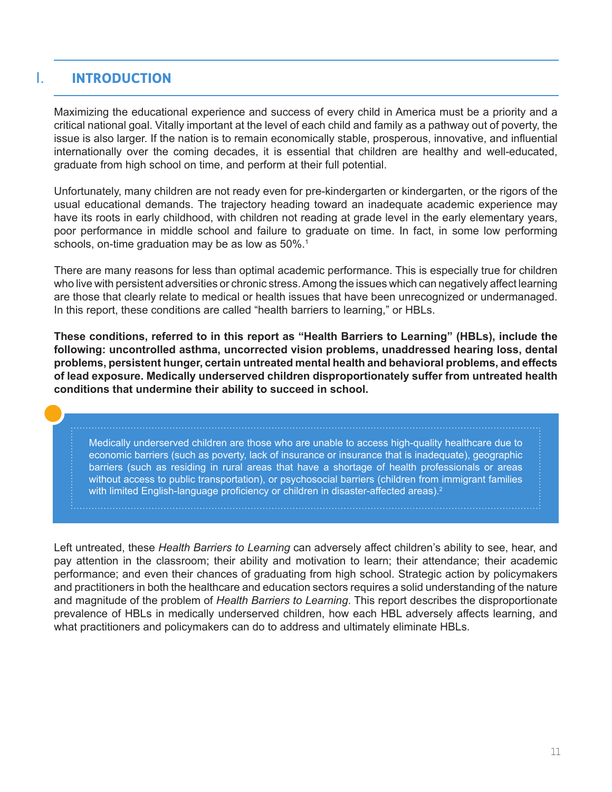## I. **INTRODUCTION**

Maximizing the educational experience and success of every child in America must be a priority and a critical national goal. Vitally important at the level of each child and family as a pathway out of poverty, the issue is also larger. If the nation is to remain economically stable, prosperous, innovative, and influential internationally over the coming decades, it is essential that children are healthy and well-educated, graduate from high school on time, and perform at their full potential.

Unfortunately, many children are not ready even for pre-kindergarten or kindergarten, or the rigors of the usual educational demands. The trajectory heading toward an inadequate academic experience may have its roots in early childhood, with children not reading at grade level in the early elementary years, poor performance in middle school and failure to graduate on time. In fact, in some low performing schools, on-time graduation may be as low as 50%.<sup>1</sup>

There are many reasons for less than optimal academic performance. This is especially true for children who live with persistent adversities or chronic stress. Among the issues which can negatively affect learning are those that clearly relate to medical or health issues that have been unrecognized or undermanaged. In this report, these conditions are called "health barriers to learning," or HBLs.

**These conditions, referred to in this report as "Health Barriers to Learning" (HBLs), include the following: uncontrolled asthma, uncorrected vision problems, unaddressed hearing loss, dental problems, persistent hunger, certain untreated mental health and behavioral problems, and effects of lead exposure. Medically underserved children disproportionately suffer from untreated health conditions that undermine their ability to succeed in school.** 

Medically underserved children are those who are unable to access high-quality healthcare due to economic barriers (such as poverty, lack of insurance or insurance that is inadequate), geographic barriers (such as residing in rural areas that have a shortage of health professionals or areas without access to public transportation), or psychosocial barriers (children from immigrant families with limited English-language proficiency or children in disaster-affected areas).<sup>2</sup>

Left untreated, these *Health Barriers to Learning* can adversely affect children's ability to see, hear, and pay attention in the classroom; their ability and motivation to learn; their attendance; their academic performance; and even their chances of graduating from high school. Strategic action by policymakers and practitioners in both the healthcare and education sectors requires a solid understanding of the nature and magnitude of the problem of *Health Barriers to Learning*. This report describes the disproportionate prevalence of HBLs in medically underserved children, how each HBL adversely affects learning, and what practitioners and policymakers can do to address and ultimately eliminate HBLs.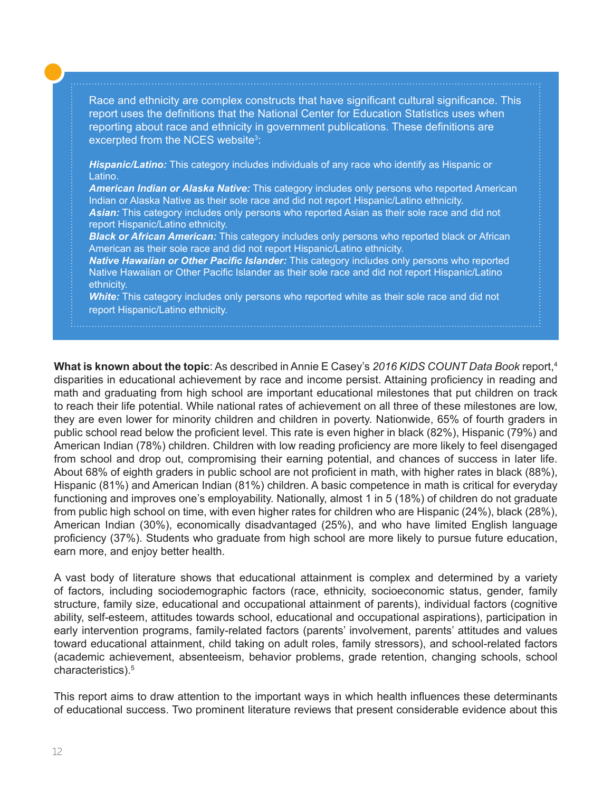Race and ethnicity are complex constructs that have significant cultural significance. This report uses the definitions that the National Center for Education Statistics uses when reporting about race and ethnicity in government publications. These definitions are excerpted from the NCES website<sup>3</sup>:

*Hispanic/Latino:* This category includes individuals of any race who identify as Hispanic or Latino.

*American Indian or Alaska Native:* This category includes only persons who reported American Indian or Alaska Native as their sole race and did not report Hispanic/Latino ethnicity. *Asian:* This category includes only persons who reported Asian as their sole race and did not report Hispanic/Latino ethnicity.

*Black or African American:* This category includes only persons who reported black or African American as their sole race and did not report Hispanic/Latino ethnicity.

*Native Hawaiian or Other Pacific Islander:* This category includes only persons who reported Native Hawaiian or Other Pacific Islander as their sole race and did not report Hispanic/Latino ethnicity.

*White:* This category includes only persons who reported white as their sole race and did not report Hispanic/Latino ethnicity.

**What is known about the topic**: As described in Annie E Casey's *2016 KIDS COUNT Data Book* report,<sup>4</sup> disparities in educational achievement by race and income persist. Attaining proficiency in reading and math and graduating from high school are important educational milestones that put children on track to reach their life potential. While national rates of achievement on all three of these milestones are low, they are even lower for minority children and children in poverty. Nationwide, 65% of fourth graders in public school read below the proficient level. This rate is even higher in black (82%), Hispanic (79%) and American Indian (78%) children. Children with low reading proficiency are more likely to feel disengaged from school and drop out, compromising their earning potential, and chances of success in later life. About 68% of eighth graders in public school are not proficient in math, with higher rates in black (88%), Hispanic (81%) and American Indian (81%) children. A basic competence in math is critical for everyday functioning and improves one's employability. Nationally, almost 1 in 5 (18%) of children do not graduate from public high school on time, with even higher rates for children who are Hispanic (24%), black (28%), American Indian (30%), economically disadvantaged (25%), and who have limited English language proficiency (37%). Students who graduate from high school are more likely to pursue future education, earn more, and enjoy better health.

A vast body of literature shows that educational attainment is complex and determined by a variety of factors, including sociodemographic factors (race, ethnicity, socioeconomic status, gender, family structure, family size, educational and occupational attainment of parents), individual factors (cognitive ability, self-esteem, attitudes towards school, educational and occupational aspirations), participation in early intervention programs, family-related factors (parents' involvement, parents' attitudes and values toward educational attainment, child taking on adult roles, family stressors), and school-related factors (academic achievement, absenteeism, behavior problems, grade retention, changing schools, school characteristics).5

This report aims to draw attention to the important ways in which health influences these determinants of educational success. Two prominent literature reviews that present considerable evidence about this